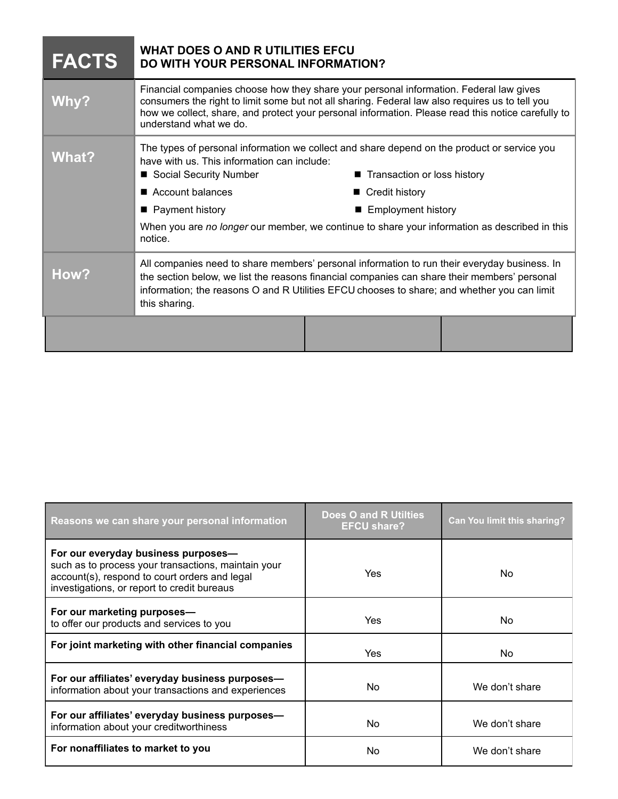| <b>FACTS</b> | <b>WHAT DOES O AND R UTILITIES EFCU</b><br><b>DO WITH YOUR PERSONAL INFORMATION?</b>                                                                                                                                                                                                                                                                                                                   |  |
|--------------|--------------------------------------------------------------------------------------------------------------------------------------------------------------------------------------------------------------------------------------------------------------------------------------------------------------------------------------------------------------------------------------------------------|--|
| <b>Why?</b>  | Financial companies choose how they share your personal information. Federal law gives<br>consumers the right to limit some but not all sharing. Federal law also requires us to tell you<br>how we collect, share, and protect your personal information. Please read this notice carefully to<br>understand what we do.                                                                              |  |
| What?        | The types of personal information we collect and share depend on the product or service you<br>have with us. This information can include:<br>Social Security Number<br>■ Transaction or loss history<br>Account balances<br>■ Credit history<br>■ Payment history<br>■ Employment history<br>When you are no longer our member, we continue to share your information as described in this<br>notice. |  |
| How?         | All companies need to share members' personal information to run their everyday business. In<br>the section below, we list the reasons financial companies can share their members' personal<br>information; the reasons O and R Utilities EFCU chooses to share; and whether you can limit<br>this sharing.                                                                                           |  |
|              |                                                                                                                                                                                                                                                                                                                                                                                                        |  |

| Reasons we can share your personal information                                                                                                                                             | <b>Does O and R Utilties</b><br><b>EFCU share?</b> | <b>Can You limit this sharing?</b> |
|--------------------------------------------------------------------------------------------------------------------------------------------------------------------------------------------|----------------------------------------------------|------------------------------------|
| For our everyday business purposes-<br>such as to process your transactions, maintain your<br>account(s), respond to court orders and legal<br>investigations, or report to credit bureaus | Yes                                                | No.                                |
| For our marketing purposes-<br>to offer our products and services to you                                                                                                                   | Yes                                                | No.                                |
| For joint marketing with other financial companies                                                                                                                                         | Yes                                                | No.                                |
| For our affiliates' everyday business purposes-<br>information about your transactions and experiences                                                                                     | No.                                                | We don't share                     |
| For our affiliates' everyday business purposes-<br>information about your creditworthiness                                                                                                 | No.                                                | We don't share                     |
| For nonaffiliates to market to you                                                                                                                                                         | No                                                 | We don't share                     |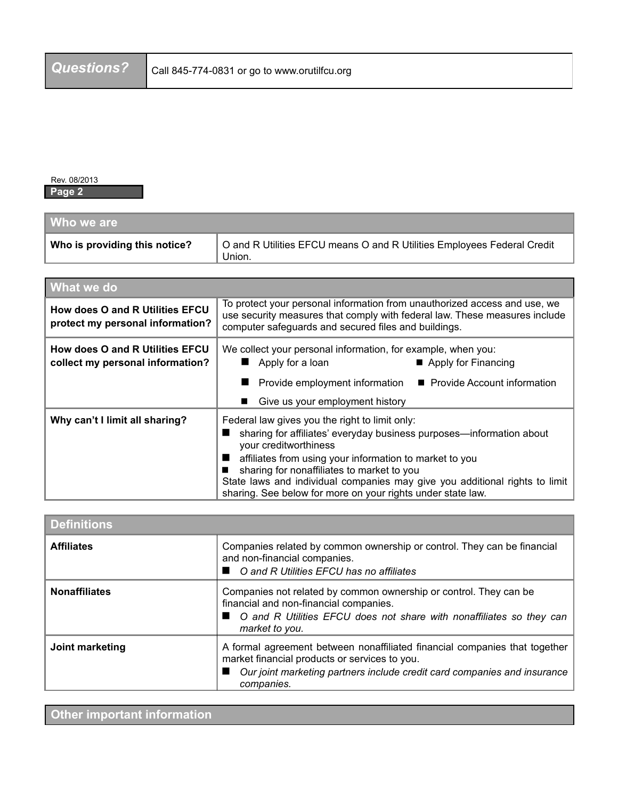Rev. 08/2013 **Page 2**

| Who we are                    |                                                                                   |
|-------------------------------|-----------------------------------------------------------------------------------|
| Who is providing this notice? | O and R Utilities EFCU means O and R Utilities Employees Federal Credit<br>Union. |

| <b>What we do</b>                                                          |                                                                                                                                                                                                                                                                                                                                                                                                        |  |
|----------------------------------------------------------------------------|--------------------------------------------------------------------------------------------------------------------------------------------------------------------------------------------------------------------------------------------------------------------------------------------------------------------------------------------------------------------------------------------------------|--|
| How does O and R Utilities EFCU<br>protect my personal information?        | To protect your personal information from unauthorized access and use, we<br>use security measures that comply with federal law. These measures include<br>computer safeguards and secured files and buildings.                                                                                                                                                                                        |  |
| <b>How does O and R Utilities EFCU</b><br>collect my personal information? | We collect your personal information, for example, when you:<br>Apply for a loan<br>Apply for Financing<br>■ Provide Account information<br>Provide employment information<br>Give us your employment history                                                                                                                                                                                          |  |
| Why can't I limit all sharing?                                             | Federal law gives you the right to limit only:<br>sharing for affiliates' everyday business purposes—information about<br>your creditworthiness<br>affiliates from using your information to market to you<br>sharing for nonaffiliates to market to you<br>State laws and individual companies may give you additional rights to limit<br>sharing. See below for more on your rights under state law. |  |

| <b>Definitions</b>   |                                                                                                                                                                                                                         |  |
|----------------------|-------------------------------------------------------------------------------------------------------------------------------------------------------------------------------------------------------------------------|--|
| <b>Affiliates</b>    | Companies related by common ownership or control. They can be financial<br>and non-financial companies.<br>■ ○ and R Utilities EFCU has no affiliates                                                                   |  |
| <b>Nonaffiliates</b> | Companies not related by common ownership or control. They can be<br>financial and non-financial companies.<br>■ O and R Utilities EFCU does not share with nonaffiliates so they can<br>market to you.                 |  |
| Joint marketing      | A formal agreement between nonaffiliated financial companies that together<br>market financial products or services to you.<br>■ Our joint marketing partners include credit card companies and insurance<br>companies. |  |

**Other important information**